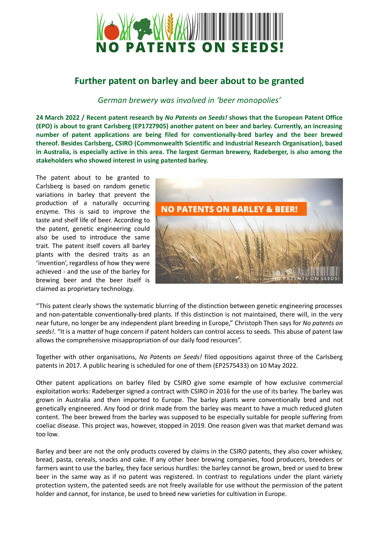

## **Further patent on barley and beer about to be granted**

## *German brewery was involved in 'beer monopolies'*

**24 March 2022 / Recent patent research by** *No Patents on Seeds!* **shows that the European Patent Office (EPO) is about to grant Carlsberg (EP1727905) another patent on beer and barley. Currently, an increasing number of patent applications are being filed for conventionally-bred barley and the beer brewed thereof. Besides Carlsberg, CSIRO (Commonwealth Scientific and Industrial Research Organisation), based in Australia, is especially active in this area. The largest German brewery, Radeberger, is also among the stakeholders who showed interest in using patented barley.** 

The patent about to be granted to Carlsberg is based on random genetic variations in barley that prevent the production of a naturally occurring enzyme. This is said to improve the taste and shelf life of beer. According to the patent, genetic engineering could also be used to introduce the same trait. The patent itself covers all barley plants with the desired traits as an 'invention', regardless of how they were achieved - and the use of the barley for brewing beer and the beer itself is claimed as proprietary technology.



"This patent clearly shows the systematic blurring of the distinction between genetic engineering processes and non-patentable conventionally-bred plants. If this distinction is not maintained, there will, in the very near future, no longer be any independent plant breeding in Europe," Christoph Then says for *No patents on seeds!*. "It is a matter of huge concern if patent holders can control access to seeds. This abuse of patent law allows the comprehensive misappropriation of our daily food resources".

Together with other organisations, *No Patents on Seeds!* filed oppositions against three of the Carlsberg patents in 2017. A public hearing is scheduled for one of them (EP2575433) on 10 May 2022.

Other patent applications on barley filed by CSIRO give some example of how exclusive commercial exploitation works: Radeberger signed a contract with CSIRO in 2016 for the use of its barley. The barley was grown in Australia and then imported to Europe. The barley plants were conventionally bred and not genetically engineered. Any food or drink made from the barley was meant to have a much reduced gluten content. The beer brewed from the barley was supposed to be especially suitable for people suffering from coeliac disease. This project was, however, stopped in 2019. One reason given was that market demand was too low.

Barley and beer are not the only products covered by claims in the CSIRO patents, they also cover whiskey, bread, pasta, cereals, snacks and cake. If any other beer brewing companies, food producers, breeders or farmers want to use the barley, they face serious hurdles: the barley cannot be grown, bred or used to brew beer in the same way as if no patent was registered. In contrast to regulations under the plant variety protection system, the patented seeds are not freely available for use without the permission of the patent holder and cannot, for instance, be used to breed new varieties for cultivation in Europe.